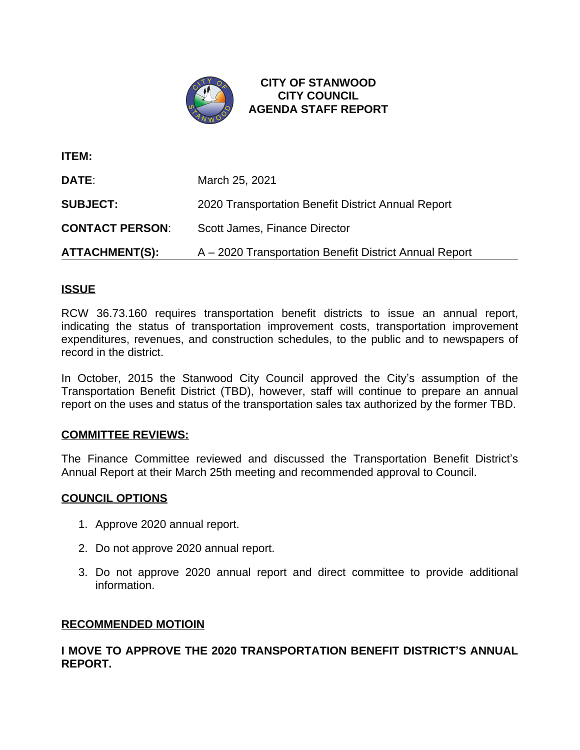

**CITY OF STANWOOD CITY COUNCIL AGENDA STAFF REPORT**

| <b>ITEM:</b>           |                                                        |
|------------------------|--------------------------------------------------------|
| DATE:                  | March 25, 2021                                         |
| <b>SUBJECT:</b>        | 2020 Transportation Benefit District Annual Report     |
| <b>CONTACT PERSON:</b> | Scott James, Finance Director                          |
| <b>ATTACHMENT(S):</b>  | A – 2020 Transportation Benefit District Annual Report |

## **ISSUE**

RCW 36.73.160 requires transportation benefit districts to issue an annual report, indicating the status of transportation improvement costs, transportation improvement expenditures, revenues, and construction schedules, to the public and to newspapers of record in the district.

In October, 2015 the Stanwood City Council approved the City's assumption of the Transportation Benefit District (TBD), however, staff will continue to prepare an annual report on the uses and status of the transportation sales tax authorized by the former TBD.

## **COMMITTEE REVIEWS:**

The Finance Committee reviewed and discussed the Transportation Benefit District's Annual Report at their March 25th meeting and recommended approval to Council.

## **COUNCIL OPTIONS**

- 1. Approve 2020 annual report.
- 2. Do not approve 2020 annual report.
- 3. Do not approve 2020 annual report and direct committee to provide additional information.

## **RECOMMENDED MOTIOIN**

**I MOVE TO APPROVE THE 2020 TRANSPORTATION BENEFIT DISTRICT'S ANNUAL REPORT.**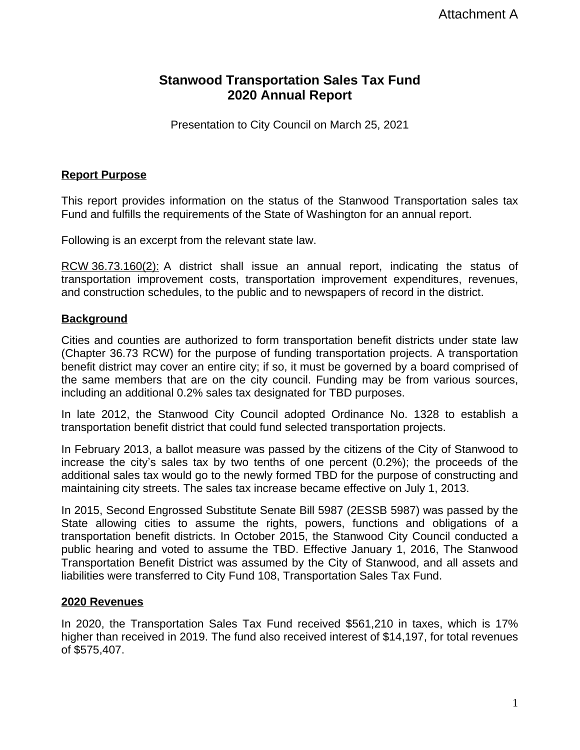# **Stanwood Transportation Sales Tax Fund 2020 Annual Report**

Presentation to City Council on March 25, 2021

## **Report Purpose**

This report provides information on the status of the Stanwood Transportation sales tax Fund and fulfills the requirements of the State of Washington for an annual report.

Following is an excerpt from the relevant state law.

RCW 36.73.160(2): A district shall issue an annual report, indicating the status of transportation improvement costs, transportation improvement expenditures, revenues, and construction schedules, to the public and to newspapers of record in the district.

## **Background**

Cities and counties are authorized to form transportation benefit districts under state law (Chapter 36.73 RCW) for the purpose of funding transportation projects. A transportation benefit district may cover an entire city; if so, it must be governed by a board comprised of the same members that are on the city council. Funding may be from various sources, including an additional 0.2% sales tax designated for TBD purposes.

In late 2012, the Stanwood City Council adopted Ordinance No. 1328 to establish a transportation benefit district that could fund selected transportation projects.

In February 2013, a ballot measure was passed by the citizens of the City of Stanwood to increase the city's sales tax by two tenths of one percent (0.2%); the proceeds of the additional sales tax would go to the newly formed TBD for the purpose of constructing and maintaining city streets. The sales tax increase became effective on July 1, 2013.

In 2015, Second Engrossed Substitute Senate Bill 5987 (2ESSB 5987) was passed by the State allowing cities to assume the rights, powers, functions and obligations of a transportation benefit districts. In October 2015, the Stanwood City Council conducted a public hearing and voted to assume the TBD. Effective January 1, 2016, The Stanwood Transportation Benefit District was assumed by the City of Stanwood, and all assets and liabilities were transferred to City Fund 108, Transportation Sales Tax Fund.

## **2020 Revenues**

In 2020, the Transportation Sales Tax Fund received \$561,210 in taxes, which is 17% higher than received in 2019. The fund also received interest of \$14,197, for total revenues of \$575,407.